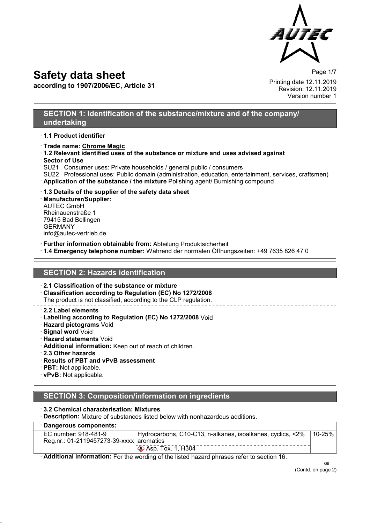

**according to 1907/2006/EC, Article 31**

Page 1/7 Printing date 12.11.2019 Revision: 12.11.2019 Version number 1

#### **SECTION 1: Identification of the substance/mixture and of the company/ undertaking**

- · **1.1 Product identifier**
- · **Trade name: Chrome Magic**
- · **1.2 Relevant identified uses of the substance or mixture and uses advised against** · **Sector of Use**
- SU21 Consumer uses: Private households / general public / consumers
- SU22 Professional uses: Public domain (administration, education, entertainment, services, craftsmen)
- · **Application of the substance / the mixture** Polishing agent/ Burnishing compound
- · **1.3 Details of the supplier of the safety data sheet**

· **Manufacturer/Supplier:** AUTEC GmbH Rheinauenstraße 1 79415 Bad Bellingen GERMANY info@autec-vertrieb.de

- · **Further information obtainable from:** Abteilung Produktsicherheit
- · **1.4 Emergency telephone number:** Während der normalen Öffnungszeiten: +49 7635 826 47 0

### **SECTION 2: Hazards identification**

- · **2.1 Classification of the substance or mixture**
- · **Classification according to Regulation (EC) No 1272/2008** The product is not classified, according to the CLP regulation.

- · **2.2 Label elements**
- · **Labelling according to Regulation (EC) No 1272/2008** Void
- · **Hazard pictograms** Void
- · **Signal word** Void
- · **Hazard statements** Void
- · **Additional information:** Keep out of reach of children.
- · **2.3 Other hazards**
- · **Results of PBT and vPvB assessment**
- · **PBT:** Not applicable.
- · **vPvB:** Not applicable.

### **SECTION 3: Composition/information on ingredients**

#### · **3.2 Chemical characterisation: Mixtures**

· **Description:** Mixture of substances listed below with nonhazardous additions.

| · Dangerous components:                                                                   |                                                            |        |
|-------------------------------------------------------------------------------------------|------------------------------------------------------------|--------|
| EC number: 918-481-9                                                                      | Hydrocarbons, C10-C13, n-alkanes, isoalkanes, cyclics, <2% | 10-25% |
| Reg.nr.: 01-2119457273-39-xxxx aromatics                                                  |                                                            |        |
|                                                                                           | $\otimes$ Asp. Tox. 1, H304                                |        |
| Additional information: For the wording of the listed hazard phrases refer to section 16. |                                                            |        |

(Contd. on page 2)

GB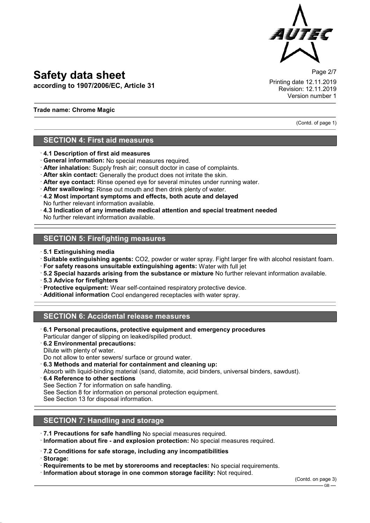

**according to 1907/2006/EC, Article 31**

Page 2/7 Printing date 12.11.2019 Revision: 12.11.2019 Version number 1

(Contd. of page 1)

#### **Trade name: Chrome Magic**

## **SECTION 4: First aid measures**

- · **4.1 Description of first aid measures**
- · **General information:** No special measures required.
- · **After inhalation:** Supply fresh air; consult doctor in case of complaints.
- · **After skin contact:** Generally the product does not irritate the skin.
- · **After eye contact:** Rinse opened eye for several minutes under running water.
- · **After swallowing:** Rinse out mouth and then drink plenty of water.
- · **4.2 Most important symptoms and effects, both acute and delayed** No further relevant information available.
- · **4.3 Indication of any immediate medical attention and special treatment needed** No further relevant information available.

### **SECTION 5: Firefighting measures**

- · **5.1 Extinguishing media**
- · **Suitable extinguishing agents:** CO2, powder or water spray. Fight larger fire with alcohol resistant foam.
- · **For safety reasons unsuitable extinguishing agents:** Water with full jet
- · **5.2 Special hazards arising from the substance or mixture** No further relevant information available.
- · **5.3 Advice for firefighters**
- · **Protective equipment:** Wear self-contained respiratory protective device.
- · **Additional information** Cool endangered receptacles with water spray.

## **SECTION 6: Accidental release measures**

- · **6.1 Personal precautions, protective equipment and emergency procedures** Particular danger of slipping on leaked/spilled product.
- · **6.2 Environmental precautions:** Dilute with plenty of water.
- Do not allow to enter sewers/ surface or ground water.
- · **6.3 Methods and material for containment and cleaning up:**
- Absorb with liquid-binding material (sand, diatomite, acid binders, universal binders, sawdust).
- · **6.4 Reference to other sections**
- See Section 7 for information on safe handling.
- See Section 8 for information on personal protection equipment.

See Section 13 for disposal information.

## **SECTION 7: Handling and storage**

- · **7.1 Precautions for safe handling** No special measures required.
- · **Information about fire and explosion protection:** No special measures required.
- · **7.2 Conditions for safe storage, including any incompatibilities**
- · **Storage:**
- · **Requirements to be met by storerooms and receptacles:** No special requirements.
- · **Information about storage in one common storage facility:** Not required.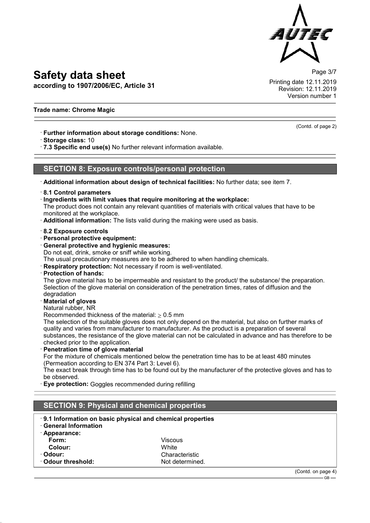**according to 1907/2006/EC, Article 31**

Page 3/7 Printing date 12.11.2019 Revision: 12.11.2019 Version number 1

#### **Trade name: Chrome Magic**

· **Further information about storage conditions:** None.

· **Storage class:** 10

· **7.3 Specific end use(s)** No further relevant information available.

#### **SECTION 8: Exposure controls/personal protection**

· **Additional information about design of technical facilities:** No further data; see item 7.

- · **8.1 Control parameters**
- · **Ingredients with limit values that require monitoring at the workplace:**

The product does not contain any relevant quantities of materials with critical values that have to be monitored at the workplace.

- · **Additional information:** The lists valid during the making were used as basis.
- · **8.2 Exposure controls**
- · **Personal protective equipment:**
- · **General protective and hygienic measures:**

Do not eat, drink, smoke or sniff while working.

The usual precautionary measures are to be adhered to when handling chemicals.

- **Respiratory protection:** Not necessary if room is well-ventilated.
- · **Protection of hands:**

The glove material has to be impermeable and resistant to the product/ the substance/ the preparation. Selection of the glove material on consideration of the penetration times, rates of diffusion and the degradation

- · **Material of gloves**
- Natural rubber, NR

Recommended thickness of the material:  $\geq 0.5$  mm

The selection of the suitable gloves does not only depend on the material, but also on further marks of quality and varies from manufacturer to manufacturer. As the product is a preparation of several substances, the resistance of the glove material can not be calculated in advance and has therefore to be checked prior to the application.

**Penetration time of glove material** 

For the mixture of chemicals mentioned below the penetration time has to be at least 480 minutes (Permeation according to EN 374 Part 3: Level 6).

The exact break through time has to be found out by the manufacturer of the protective gloves and has to be observed.

**Eye protection:** Goggles recommended during refilling

| <b>SECTION 9: Physical and chemical properties</b>                                                       |                                   |                              |
|----------------------------------------------------------------------------------------------------------|-----------------------------------|------------------------------|
| 9.1 Information on basic physical and chemical properties<br><b>General Information</b><br>· Appearance: |                                   |                              |
| Form:<br>Colour:                                                                                         | <b>Viscous</b><br>White           |                              |
| · Odour:<br>Odour threshold:                                                                             | Characteristic<br>Not determined. |                              |
|                                                                                                          |                                   | (Contd. on page 4)<br>$GB -$ |

(Contd. of page 2)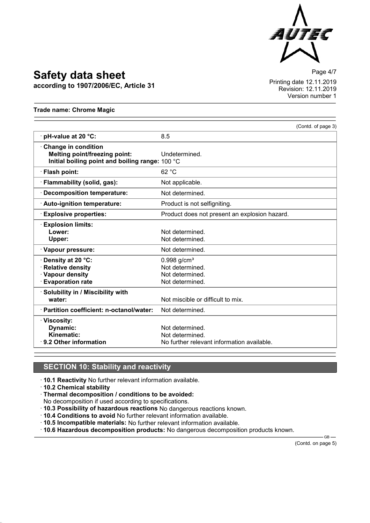

**according to 1907/2006/EC, Article 31**

Page 4/7 Printing date 12.11.2019 Revision: 12.11.2019 Version number 1

**Trade name: Chrome Magic**

|                                                                                                                       |                                                                                    | (Contd. of page 3) |
|-----------------------------------------------------------------------------------------------------------------------|------------------------------------------------------------------------------------|--------------------|
| $\cdot$ pH-value at 20 $\degree$ C:                                                                                   | 8.5                                                                                |                    |
| <b>Change in condition</b><br><b>Melting point/freezing point:</b><br>Initial boiling point and boiling range: 100 °C | Undetermined.                                                                      |                    |
| · Flash point:                                                                                                        | 62 °C                                                                              |                    |
| · Flammability (solid, gas):                                                                                          | Not applicable.                                                                    |                    |
| Decomposition temperature:                                                                                            | Not determined.                                                                    |                    |
| · Auto-ignition temperature:                                                                                          | Product is not selfigniting.                                                       |                    |
| <b>Explosive properties:</b>                                                                                          | Product does not present an explosion hazard.                                      |                    |
| <b>Explosion limits:</b><br>Lower:<br>Upper:                                                                          | Not determined.<br>Not determined.                                                 |                    |
| · Vapour pressure:                                                                                                    | Not determined.                                                                    |                    |
| · Density at 20 °C:<br><b>Relative density</b><br>· Vapour density<br><b>Evaporation rate</b>                         | $0.998$ g/cm <sup>3</sup><br>Not determined.<br>Not determined.<br>Not determined. |                    |
| · Solubility in / Miscibility with<br>water:                                                                          | Not miscible or difficult to mix.                                                  |                    |
| · Partition coefficient: n-octanol/water:                                                                             | Not determined.                                                                    |                    |
| · Viscosity:<br>Dynamic:<br>Kinematic:<br>$\cdot$ 9.2 Other information                                               | Not determined.<br>Not determined.<br>No further relevant information available.   |                    |

### **SECTION 10: Stability and reactivity**

· **10.1 Reactivity** No further relevant information available.

· **10.2 Chemical stability**

· **Thermal decomposition / conditions to be avoided:**

No decomposition if used according to specifications.

· **10.3 Possibility of hazardous reactions** No dangerous reactions known.

· **10.4 Conditions to avoid** No further relevant information available.

· **10.5 Incompatible materials:** No further relevant information available.

· **10.6 Hazardous decomposition products:** No dangerous decomposition products known.

(Contd. on page 5)

 $-$ GB $-$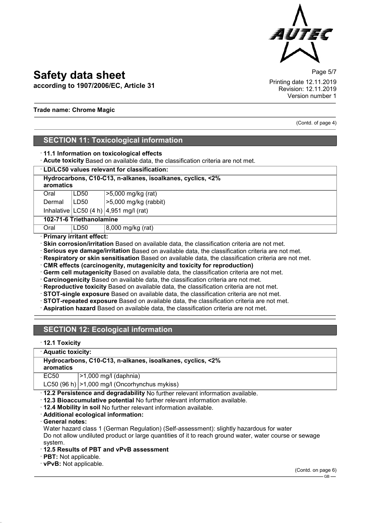

**according to 1907/2006/EC, Article 31**

Page 5/7 Printing date 12.11.2019 Revision: 12.11.2019 Version number 1

#### **Trade name: Chrome Magic**

(Contd. of page 4)

### **SECTION 11: Toxicological information**

#### · **11.1 Information on toxicological effects**

· **Acute toxicity** Based on available data, the classification criteria are not met.

#### · **LD/LC50 values relevant for classification:**

| Hydrocarbons, C10-C13, n-alkanes, isoalkanes, cyclics, <2%<br>aromatics |      |                                                                    |
|-------------------------------------------------------------------------|------|--------------------------------------------------------------------|
| Oral                                                                    | LD50 |                                                                    |
| Dermal                                                                  | LD50 | $\begin{array}{ l }\n$ >5,000 mg/kg (rat)<br>>5,000 mg/kg (rabbit) |

Inhalative  $|LC50$  (4 h)  $|4,951$  mg/l (rat)

**102-71-6 Triethanolamine**

Oral LD50 8,000 mg/kg (rat)

· **Primary irritant effect:**

- **Skin corrosion/irritation** Based on available data, the classification criteria are not met.
- · **Serious eye damage/irritation** Based on available data, the classification criteria are not met.
- · **Respiratory or skin sensitisation** Based on available data, the classification criteria are not met.
- · **CMR effects (carcinogenity, mutagenicity and toxicity for reproduction)**
- · **Germ cell mutagenicity** Based on available data, the classification criteria are not met.
- · **Carcinogenicity** Based on available data, the classification criteria are not met.
- · **Reproductive toxicity** Based on available data, the classification criteria are not met.
- · **STOT-single exposure** Based on available data, the classification criteria are not met.
- · **STOT-repeated exposure** Based on available data, the classification criteria are not met.
- · **Aspiration hazard** Based on available data, the classification criteria are not met.

## **SECTION 12: Ecological information**

#### · **12.1 Toxicity**

· **Aquatic toxicity:**

| Hydrocarbons, C10-C13, n-alkanes, isoalkanes, cyclics, <2% |  |  |
|------------------------------------------------------------|--|--|
| aromatics                                                  |  |  |

EC50 >1,000 mg/l (daphnia)

LC50 (96 h)  $|>1,000$  mg/l (Oncorhynchus mykiss)

· **12.2 Persistence and degradability** No further relevant information available.

- · **12.3 Bioaccumulative potential** No further relevant information available.
- · **12.4 Mobility in soil** No further relevant information available.
- · **Additional ecological information:**

· **General notes:**

Water hazard class 1 (German Regulation) (Self-assessment): slightly hazardous for water Do not allow undiluted product or large quantities of it to reach ground water, water course or sewage system.

· **12.5 Results of PBT and vPvB assessment**

· **PBT:** Not applicable.

· **vPvB:** Not applicable.

(Contd. on page 6)  $-$  GB -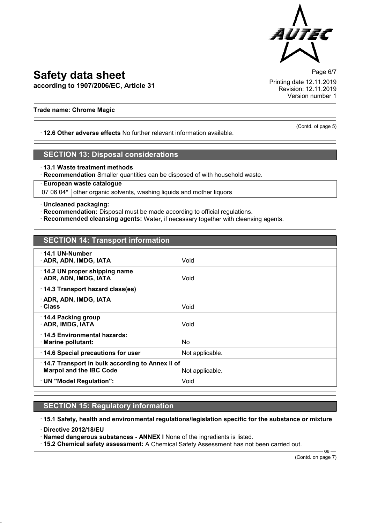

**according to 1907/2006/EC, Article 31**

Page 6/7 Printing date 12.11.2019 Revision: 12.11.2019 Version number 1

#### **Trade name: Chrome Magic**

· **12.6 Other adverse effects** No further relevant information available.

## **SECTION 13: Disposal considerations**

· **13.1 Waste treatment methods**

· **Recommendation** Smaller quantities can be disposed of with household waste.

· **European waste catalogue**

07 06 04\* other organic solvents, washing liquids and mother liquors

· **Uncleaned packaging:**

· **Recommendation:** Disposal must be made according to official regulations.

· **Recommended cleansing agents:** Water, if necessary together with cleansing agents.

| <b>SECTION 14: Transport information</b>                                          |                 |
|-----------------------------------------------------------------------------------|-----------------|
| $\cdot$ 14.1 UN-Number<br>· ADR, ADN, IMDG, IATA                                  | Void            |
| 14.2 UN proper shipping name<br>· ADR, ADN, IMDG, IATA                            | Void            |
| 14.3 Transport hazard class(es)                                                   |                 |
| · ADR, ADN, IMDG, IATA<br>· Class                                                 | Void            |
| 14.4 Packing group<br>· ADR, IMDG, IATA                                           | Void            |
| ⋅14.5 Environmental hazards:<br>$\cdot$ Marine pollutant:                         | No.             |
| 14.6 Special precautions for user                                                 | Not applicable. |
| 14.7 Transport in bulk according to Annex II of<br><b>Marpol and the IBC Code</b> | Not applicable. |
| · UN "Model Regulation":                                                          | Void            |

## **SECTION 15: Regulatory information**

· **15.1 Safety, health and environmental regulations/legislation specific for the substance or mixture**

· **Directive 2012/18/EU**

· **Named dangerous substances - ANNEX I** None of the ingredients is listed.

· **15.2 Chemical safety assessment:** A Chemical Safety Assessment has not been carried out.

(Contd. on page 7)

 $-$ GB $-$ 

(Contd. of page 5)